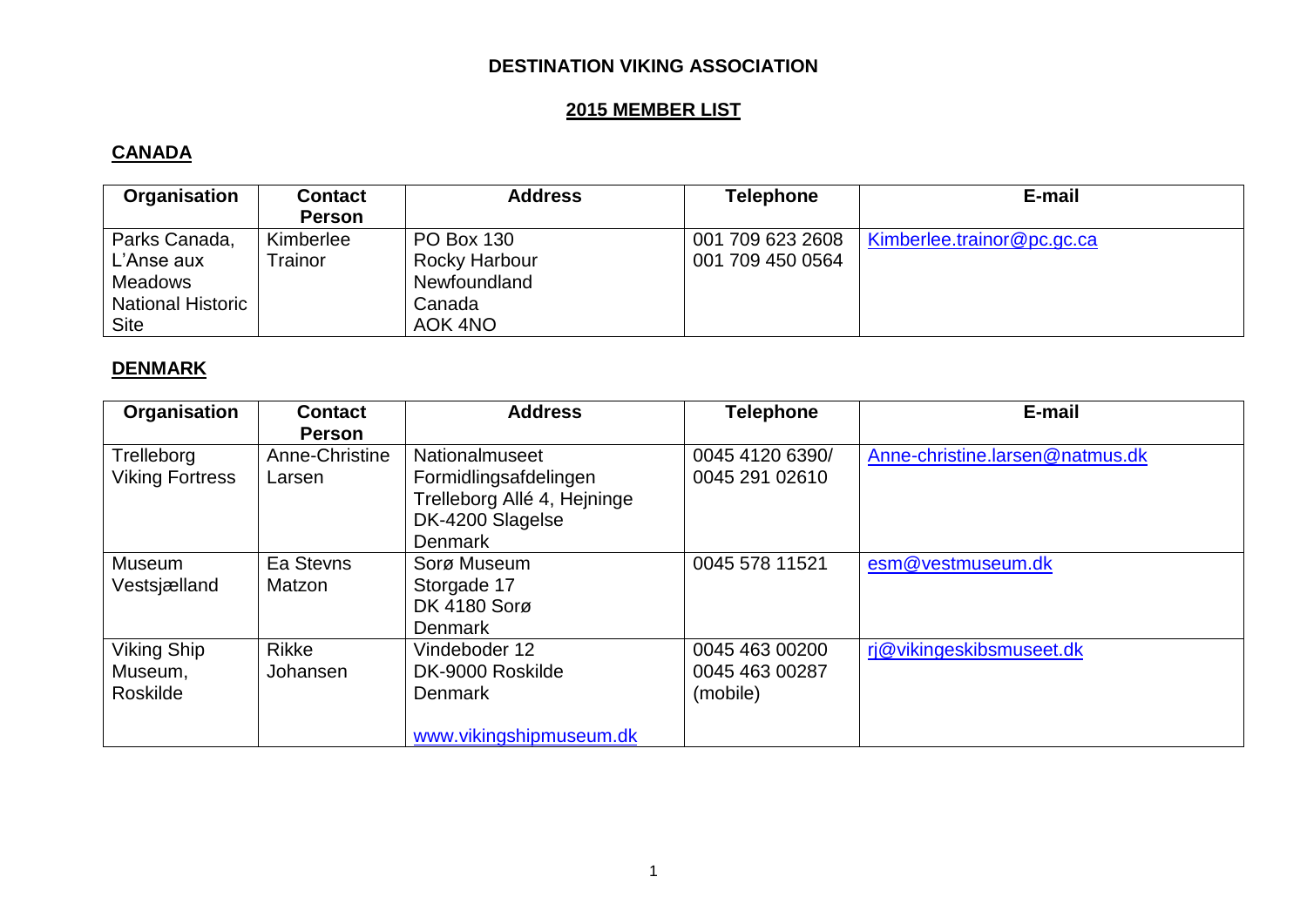### **DESTINATION VIKING ASSOCIATION**

# **2015 MEMBER LIST**

### **CANADA**

| Organisation                                                                             | <b>Contact</b><br><b>Person</b> | <b>Address</b>                                                          | <b>Telephone</b>                     | E-mail                     |
|------------------------------------------------------------------------------------------|---------------------------------|-------------------------------------------------------------------------|--------------------------------------|----------------------------|
| Parks Canada,<br>L'Anse aux<br><b>Meadows</b><br><b>National Historic</b><br><b>Site</b> | Kimberlee<br>Trainor            | <b>PO Box 130</b><br>Rocky Harbour<br>Newfoundland<br>Canada<br>AOK 4NO | 001 709 623 2608<br>001 709 450 0564 | Kimberlee.trainor@pc.qc.ca |

### **DENMARK**

| Organisation                              | <b>Contact</b><br><b>Person</b> | <b>Address</b>                                                                                               | <b>Telephone</b>                             | E-mail                          |
|-------------------------------------------|---------------------------------|--------------------------------------------------------------------------------------------------------------|----------------------------------------------|---------------------------------|
| Trelleborg<br><b>Viking Fortress</b>      | Anne-Christine<br>Larsen        | Nationalmuseet<br>Formidlingsafdelingen<br>Trelleborg Allé 4, Hejninge<br>DK-4200 Slagelse<br><b>Denmark</b> | 0045 4120 6390/<br>0045 291 02610            | Anne-christine.larsen@natmus.dk |
| Museum<br>Vestsjælland                    | Ea Stevns<br>Matzon             | Sorø Museum<br>Storgade 17<br><b>DK 4180 Sorg</b><br><b>Denmark</b>                                          | 0045 578 11521                               | esm@vestmuseum.dk               |
| <b>Viking Ship</b><br>Museum,<br>Roskilde | <b>Rikke</b><br>Johansen        | Vindeboder 12<br>DK-9000 Roskilde<br><b>Denmark</b><br>www.vikingshipmuseum.dk                               | 0045 463 00200<br>0045 463 00287<br>(mobile) | rj@vikingeskibsmuseet.dk        |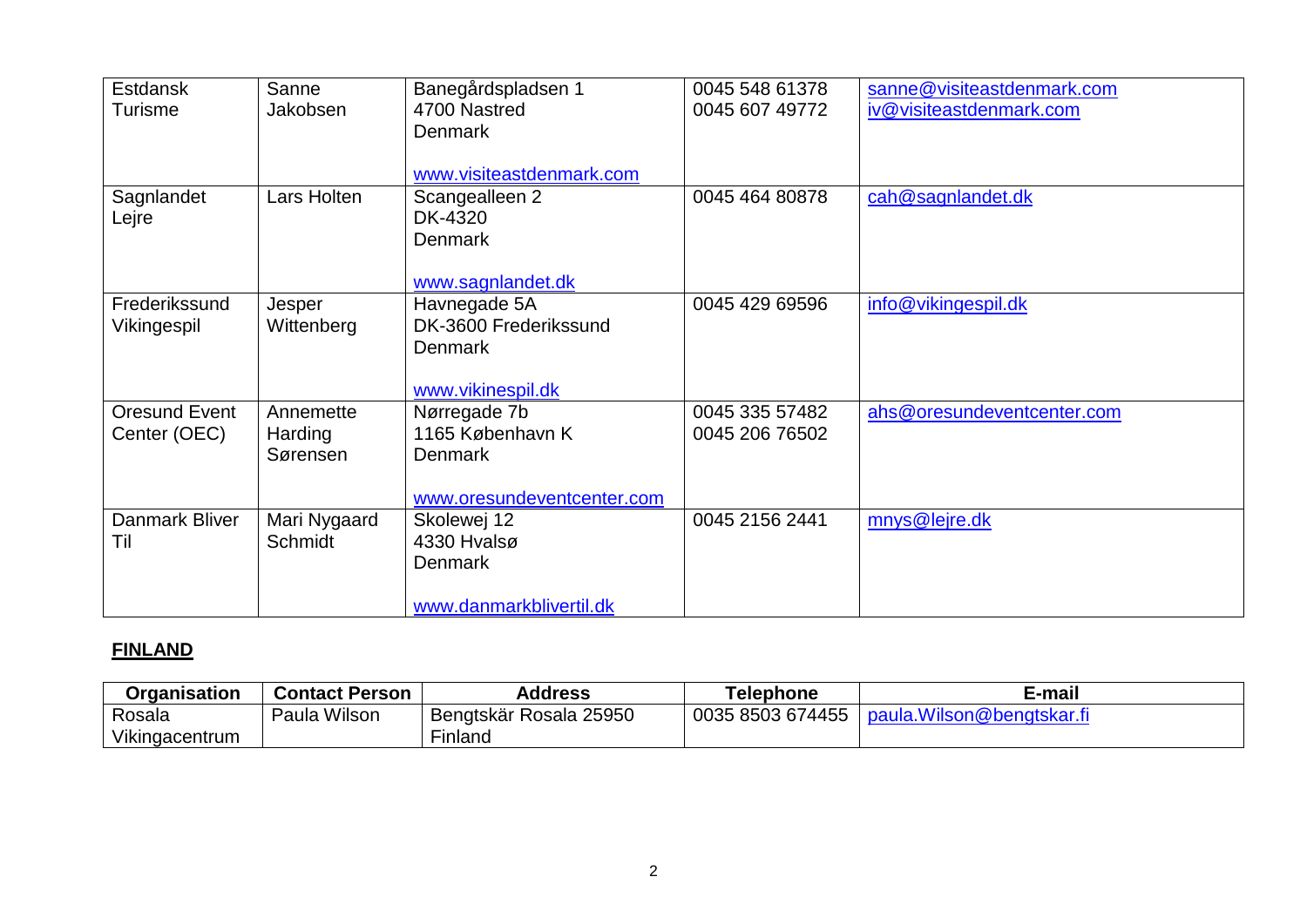| <b>Estdansk</b><br><b>Turisme</b> | Sanne<br>Jakobsen                | Banegårdspladsen 1<br>4700 Nastred<br><b>Denmark</b><br>www.visiteastdenmark.com | 0045 548 61378<br>0045 607 49772 | sanne@visiteastdenmark.com<br>iv@visiteastdenmark.com |
|-----------------------------------|----------------------------------|----------------------------------------------------------------------------------|----------------------------------|-------------------------------------------------------|
| Sagnlandet<br>Lejre               | Lars Holten                      | Scangealleen 2<br>DK-4320<br><b>Denmark</b><br>www.sagnlandet.dk                 | 0045 464 80878                   | cah@sagnlandet.dk                                     |
| Frederikssund<br>Vikingespil      | Jesper<br>Wittenberg             | Havnegade 5A<br>DK-3600 Frederikssund<br><b>Denmark</b><br>www.vikinespil.dk     | 0045 429 69596                   | info@vikingespil.dk                                   |
| Oresund Event<br>Center (OEC)     | Annemette<br>Harding<br>Sørensen | Nørregade 7b<br>1165 København K<br><b>Denmark</b><br>www.oresundeventcenter.com | 0045 335 57482<br>0045 206 76502 | ahs@oresundeventcenter.com                            |
| Danmark Bliver<br>Til             | Mari Nygaard<br>Schmidt          | Skolewej 12<br>4330 Hvalsø<br><b>Denmark</b><br>www.danmarkblivertil.dk          | 0045 2156 2441                   | mnys@lejre.dk                                         |

# **FINLAND**

| Organisation   | <b>Contact Person</b> | Address                          | Telephone        | E-mail                     |
|----------------|-----------------------|----------------------------------|------------------|----------------------------|
| Rosala         | Wilsor<br>Paula       | 25950<br><b>Bengtskär Rosala</b> | 0035 8503 674455 | ∟paula.Wilson@bengtskar.fi |
| Vikingacentrum |                       | ∽ınlano                          |                  |                            |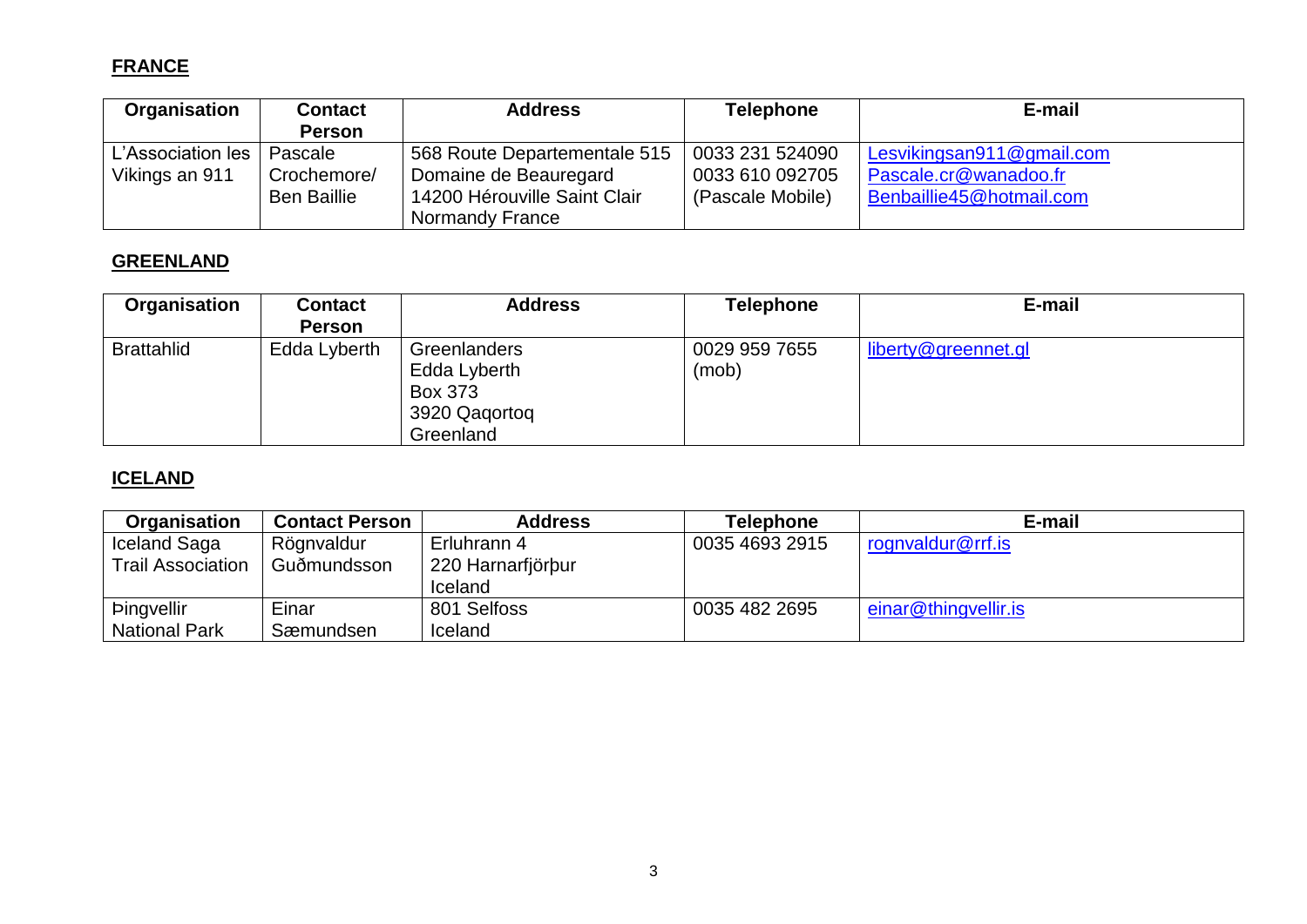# **FRANCE**

| Organisation      | <b>Contact</b>     | <b>Address</b>               | <b>Telephone</b> | E-mail                    |
|-------------------|--------------------|------------------------------|------------------|---------------------------|
|                   | <b>Person</b>      |                              |                  |                           |
| L'Association les | Pascale            | 568 Route Departementale 515 | 0033 231 524090  | Lesvikingsan911@gmail.com |
| Vikings an 911    | Crochemore/        | Domaine de Beauregard        | 0033 610 092705  | Pascale.cr@wanadoo.fr     |
|                   | <b>Ben Baillie</b> | 14200 Hérouville Saint Clair | (Pascale Mobile) | Benbaillie45@hotmail.com  |
|                   |                    | <b>Normandy France</b>       |                  |                           |

### **GREENLAND**

| Organisation      | <b>Contact</b> | <b>Address</b>                                                               | <b>Telephone</b>       | E-mail              |
|-------------------|----------------|------------------------------------------------------------------------------|------------------------|---------------------|
|                   | <b>Person</b>  |                                                                              |                        |                     |
| <b>Brattahlid</b> | Edda Lyberth   | Greenlanders<br>Edda Lyberth<br><b>Box 373</b><br>3920 Qagortog<br>Greenland | 0029 959 7655<br>(mob) | liberty@greennet.gl |

# **ICELAND**

| Organisation             | <b>Contact Person</b> | <b>Address</b>    | <b>Telephone</b> | E-mail               |
|--------------------------|-----------------------|-------------------|------------------|----------------------|
| Iceland Saga             | Rögnvaldur            | Erluhrann 4       | 0035 4693 2915   | rognvaldur@rrf.is    |
| <b>Trail Association</b> | Guðmundsson           | 220 Harnarfjörbur |                  |                      |
|                          |                       | Iceland           |                  |                      |
| <b>Þingvellir</b>        | Einar                 | 801 Selfoss       | 0035 482 2695    | einar@thingvellir.is |
| <b>National Park</b>     | Sæmundsen             | Iceland           |                  |                      |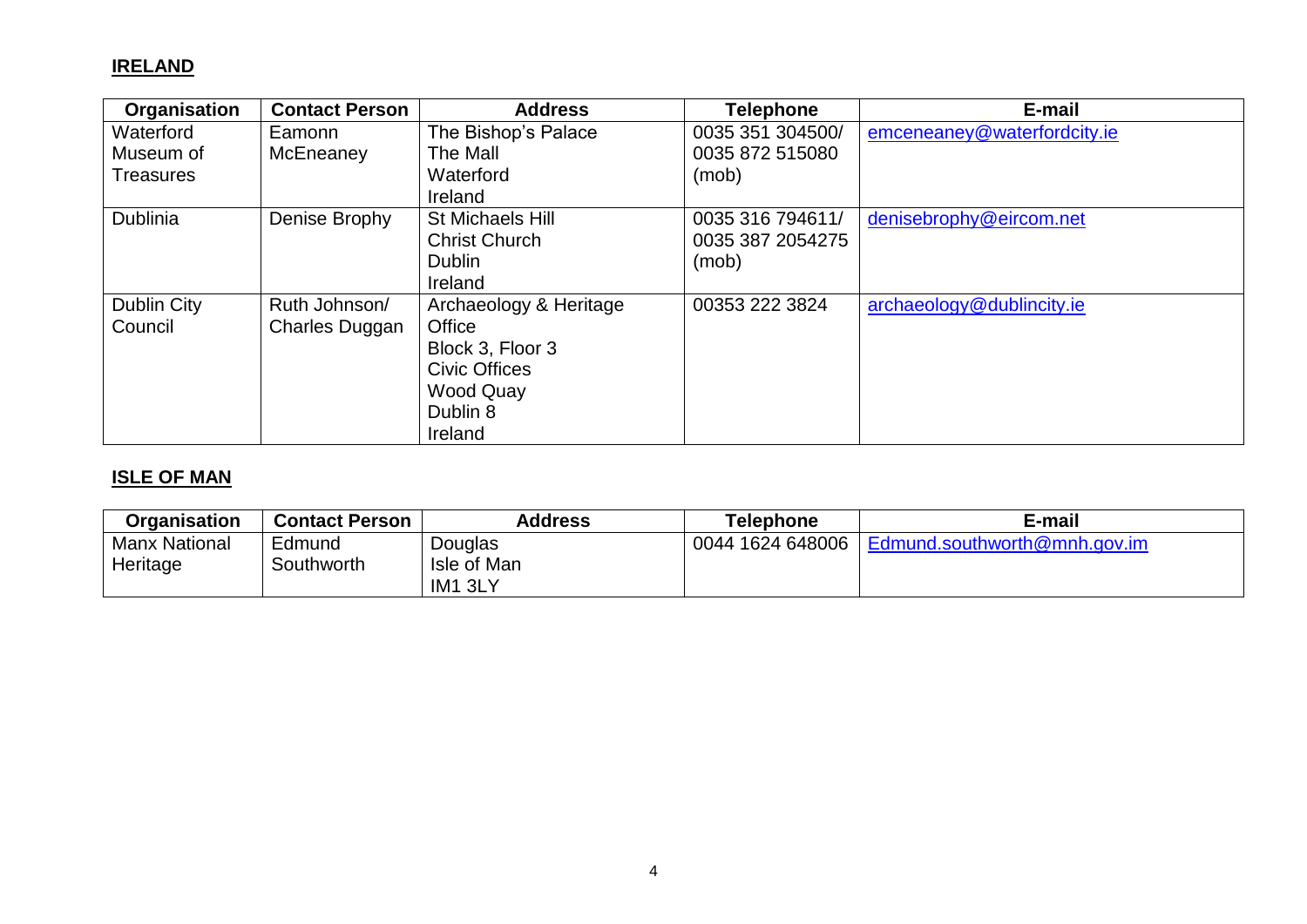#### **IRELAND**

| Organisation     | <b>Contact Person</b> | <b>Address</b>          | <b>Telephone</b> | E-mail                      |
|------------------|-----------------------|-------------------------|------------------|-----------------------------|
| Waterford        | Eamonn                | The Bishop's Palace     | 0035 351 304500/ | emceneaney@waterfordcity.ie |
| Museum of        | McEneaney             | The Mall                | 0035 872 515080  |                             |
| <b>Treasures</b> |                       | Waterford               | (mob)            |                             |
|                  |                       | Ireland                 |                  |                             |
| <b>Dublinia</b>  | Denise Brophy         | <b>St Michaels Hill</b> | 0035 316 794611/ | denisebrophy@eircom.net     |
|                  |                       | <b>Christ Church</b>    | 0035 387 2054275 |                             |
|                  |                       | <b>Dublin</b>           | (mob)            |                             |
|                  |                       | Ireland                 |                  |                             |
| Dublin City      | Ruth Johnson/         | Archaeology & Heritage  | 00353 222 3824   | archaeology@dublincity.ie   |
| Council          | <b>Charles Duggan</b> | Office                  |                  |                             |
|                  |                       | Block 3, Floor 3        |                  |                             |
|                  |                       | <b>Civic Offices</b>    |                  |                             |
|                  |                       | <b>Wood Quay</b>        |                  |                             |
|                  |                       | Dublin 8                |                  |                             |
|                  |                       | Ireland                 |                  |                             |

# **ISLE OF MAN**

| <b>Organisation</b>  | <b>Contact Person</b> | Address                | <b>Telephone</b> | E-mail                       |
|----------------------|-----------------------|------------------------|------------------|------------------------------|
| <b>Manx National</b> | Edmund<br>Southworth  | Douglas<br>Isle of Man | 0044 1624 648006 | Edmund.southworth@mnh.gov.im |
| Heritage             |                       | IM1 3LY                |                  |                              |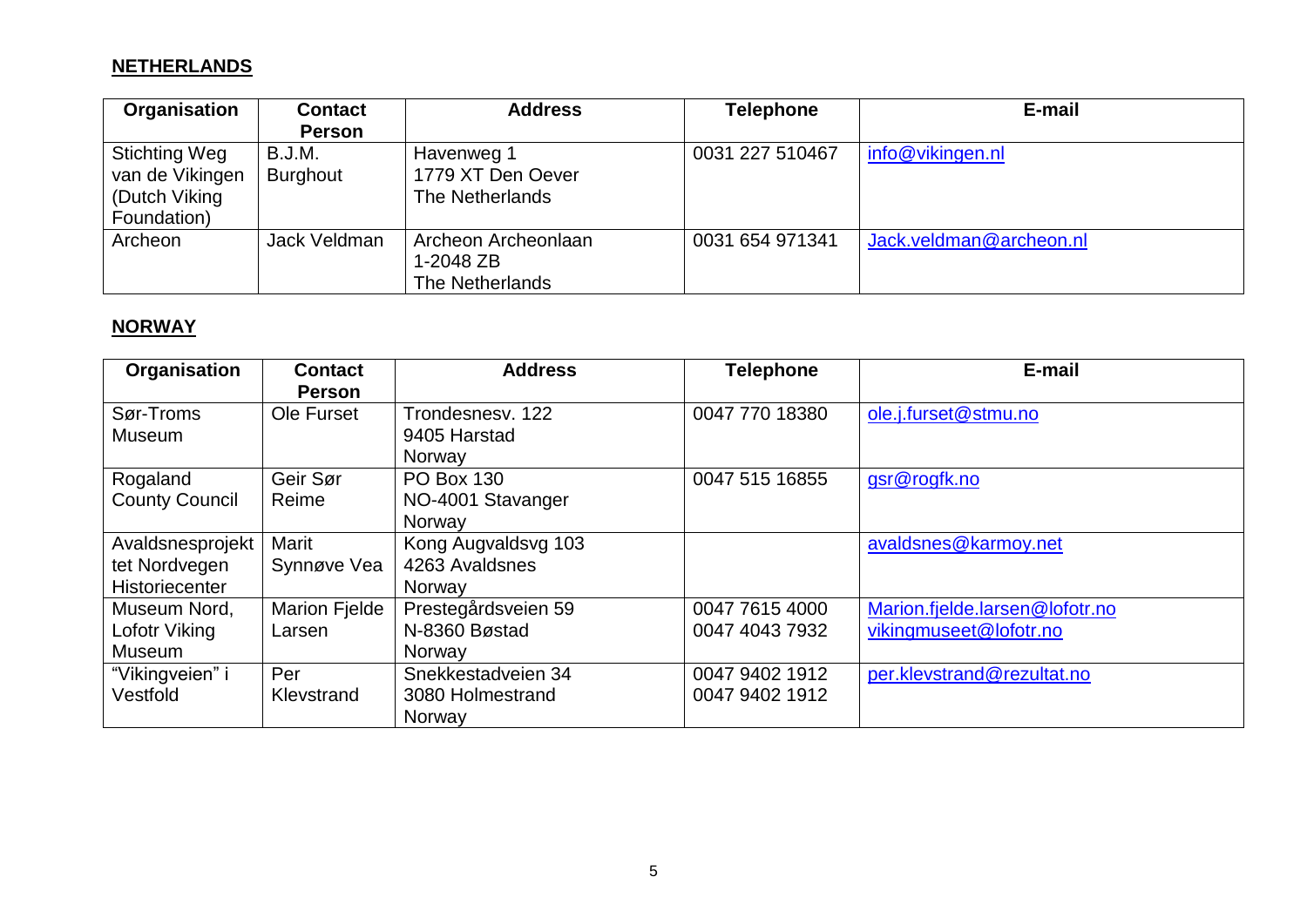### **NETHERLANDS**

| Organisation                                                     | <b>Contact</b><br><b>Person</b> | <b>Address</b>                                      | <b>Telephone</b> | E-mail                  |
|------------------------------------------------------------------|---------------------------------|-----------------------------------------------------|------------------|-------------------------|
| Stichting Weg<br>van de Vikingen<br>(Dutch Viking<br>Foundation) | B.J.M.<br><b>Burghout</b>       | Havenweg 1<br>1779 XT Den Oever<br>The Netherlands  | 0031 227 510467  | info@vikingen.nl        |
| Archeon                                                          | Jack Veldman                    | Archeon Archeonlaan<br>1-2048 ZB<br>The Netherlands | 0031 654 971341  | Jack.veldman@archeon.nl |

# **NORWAY**

| Organisation                                        | <b>Contact</b><br><b>Person</b> | <b>Address</b>                                   | <b>Telephone</b>                 | E-mail                                                   |
|-----------------------------------------------------|---------------------------------|--------------------------------------------------|----------------------------------|----------------------------------------------------------|
| Sør-Troms<br><b>Museum</b>                          | Ole Furset                      | Trondesnesv. 122<br>9405 Harstad<br>Norway       | 0047 770 18380                   | ole.j.furset@stmu.no                                     |
| Rogaland<br><b>County Council</b>                   | Geir Sør<br>Reime               | <b>PO Box 130</b><br>NO-4001 Stavanger<br>Norway | 0047 515 16855                   | gsr@rogfk.no                                             |
| Avaldsnesprojekt<br>tet Nordvegen<br>Historiecenter | Marit<br>Synnøve Vea            | Kong Augvaldsvg 103<br>4263 Avaldsnes<br>Norway  |                                  | avaldsnes@karmoy.net                                     |
| Museum Nord,<br>Lofotr Viking<br>Museum             | <b>Marion Fielde</b><br>Larsen  | Prestegårdsveien 59<br>N-8360 Bøstad<br>Norway   | 0047 7615 4000<br>0047 4043 7932 | Marion.fjelde.larsen@lofotr.no<br>vikingmuseet@lofotr.no |
| "Vikingveien" i<br>Vestfold                         | Per<br>Klevstrand               | Snekkestadveien 34<br>3080 Holmestrand<br>Norway | 0047 9402 1912<br>0047 9402 1912 | per.klevstrand@rezultat.no                               |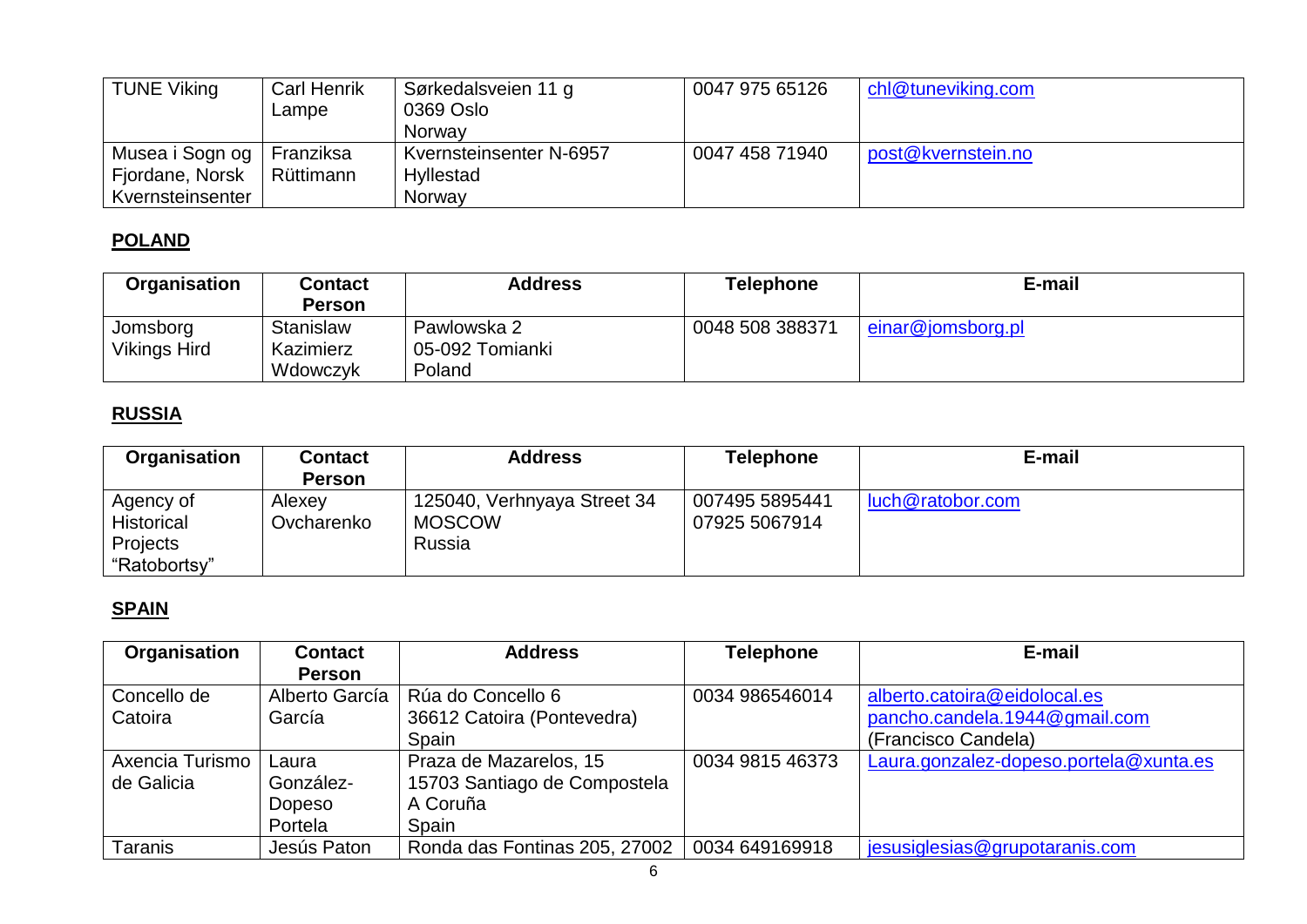| <b>TUNE Viking</b> | <b>Carl Henrik</b><br>Lampe | Sørkedalsveien 11 g<br>0369 Oslo<br>Norway | 0047 975 65126 | chl@tuneviking.com |
|--------------------|-----------------------------|--------------------------------------------|----------------|--------------------|
| Musea i Sogn og    | Franziksa                   | Kvernsteinsenter N-6957                    | 0047 458 71940 | post@kvernstein.no |
| Fjordane, Norsk    | Rüttimann                   | Hyllestad                                  |                |                    |
| Kvernsteinsenter   |                             | Norway                                     |                |                    |

### **POLAND**

| <b>Organisation</b> | <b>Contact</b> | <b>Address</b>  | Telephone       | E-mail            |
|---------------------|----------------|-----------------|-----------------|-------------------|
|                     | Person         |                 |                 |                   |
| Jomsborg            | Stanislaw      | Pawlowska 2     | 0048 508 388371 | einar@jomsborg.pl |
| <b>Vikings Hird</b> | Kazimierz      | 05-092 Tomianki |                 |                   |
|                     | Wdowczyk       | Poland          |                 |                   |

# **RUSSIA**

| Organisation      | <b>Contact</b> | <b>Address</b>              | <b>Telephone</b> | E-mail           |
|-------------------|----------------|-----------------------------|------------------|------------------|
|                   | <b>Person</b>  |                             |                  |                  |
| Agency of         | Alexey         | 125040, Verhnyaya Street 34 | 007495 5895441   | luch@ratobor.com |
| <b>Historical</b> | Ovcharenko     | <b>MOSCOW</b>               | 07925 5067914    |                  |
| Projects          |                | Russia                      |                  |                  |
| "Ratobortsy"      |                |                             |                  |                  |

### **SPAIN**

| Organisation    | <b>Contact</b> | <b>Address</b>                | <b>Telephone</b> | E-mail                                 |
|-----------------|----------------|-------------------------------|------------------|----------------------------------------|
|                 | <b>Person</b>  |                               |                  |                                        |
| Concello de     | Alberto García | Rúa do Concello 6             | 0034 986546014   | alberto.catoira@eidolocal.es           |
| Catoira         | García         | 36612 Catoira (Pontevedra)    |                  | pancho.candela.1944@gmail.com          |
|                 |                | Spain                         |                  | (Francisco Candela)                    |
| Axencia Turismo | Laura          | Praza de Mazarelos, 15        | 0034 9815 46373  | Laura.gonzalez-dopeso.portela@xunta.es |
| de Galicia      | González-      | 15703 Santiago de Compostela  |                  |                                        |
|                 | Dopeso         | A Coruña                      |                  |                                        |
|                 | Portela        | Spain                         |                  |                                        |
| Taranis         | Jesús Paton    | Ronda das Fontinas 205, 27002 | 0034 649169918   | jesusiglesias@grupotaranis.com         |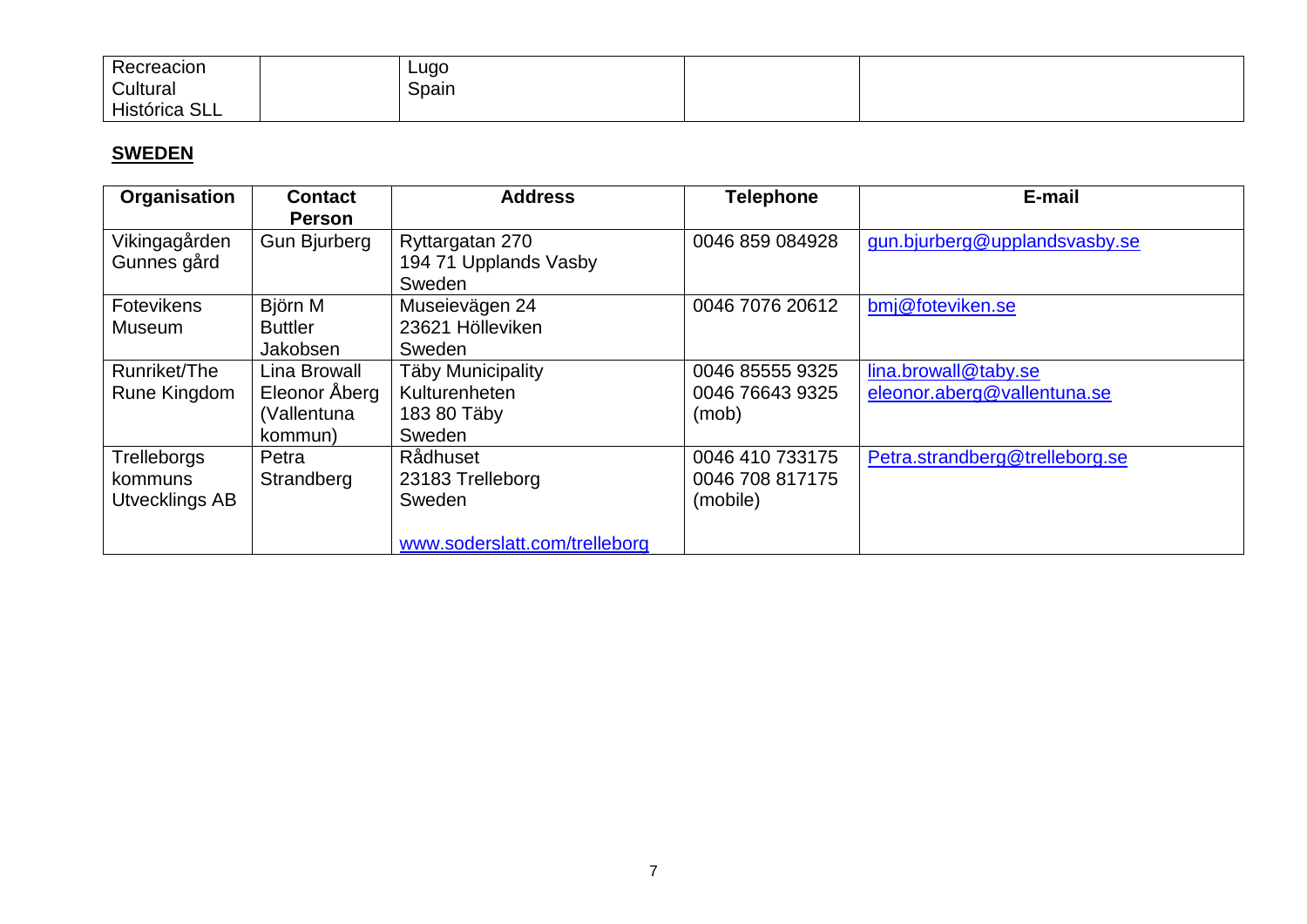| -<br>Recreacion | Lugo<br>. . |  |
|-----------------|-------------|--|
| Cultural        | Spain       |  |
| Histórica SLL   |             |  |

### **SWEDEN**

| <b>Organisation</b>                             | <b>Contact</b><br><b>Person</b>                         | <b>Address</b>                                                          | <b>Telephone</b>                               | E-mail                                              |
|-------------------------------------------------|---------------------------------------------------------|-------------------------------------------------------------------------|------------------------------------------------|-----------------------------------------------------|
| Vikingagården<br>Gunnes gård                    | <b>Gun Bjurberg</b>                                     | Ryttargatan 270<br>194 71 Upplands Vasby<br>Sweden                      | 0046 859 084928                                | gun.bjurberg@upplandsvasby.se                       |
| Fotevikens<br><b>Museum</b>                     | Björn M<br><b>Buttler</b><br>Jakobsen                   | Museievägen 24<br>23621 Hölleviken<br>Sweden                            | 0046 7076 20612                                | bmj@foteviken.se                                    |
| Runriket/The<br>Rune Kingdom                    | Lina Browall<br>Eleonor Åberg<br>(Vallentuna<br>kommun) | <b>Täby Municipality</b><br>Kulturenheten<br>183 80 Täby<br>Sweden      | 0046 85555 9325<br>0046 76643 9325<br>(mob)    | lina.browall@taby.se<br>eleonor.aberg@vallentuna.se |
| Trelleborgs<br>kommuns<br><b>Utvecklings AB</b> | Petra<br>Strandberg                                     | Rådhuset<br>23183 Trelleborg<br>Sweden<br>www.soderslatt.com/trelleborg | 0046 410 733175<br>0046 708 817175<br>(mobile) | Petra.strandberg@trelleborg.se                      |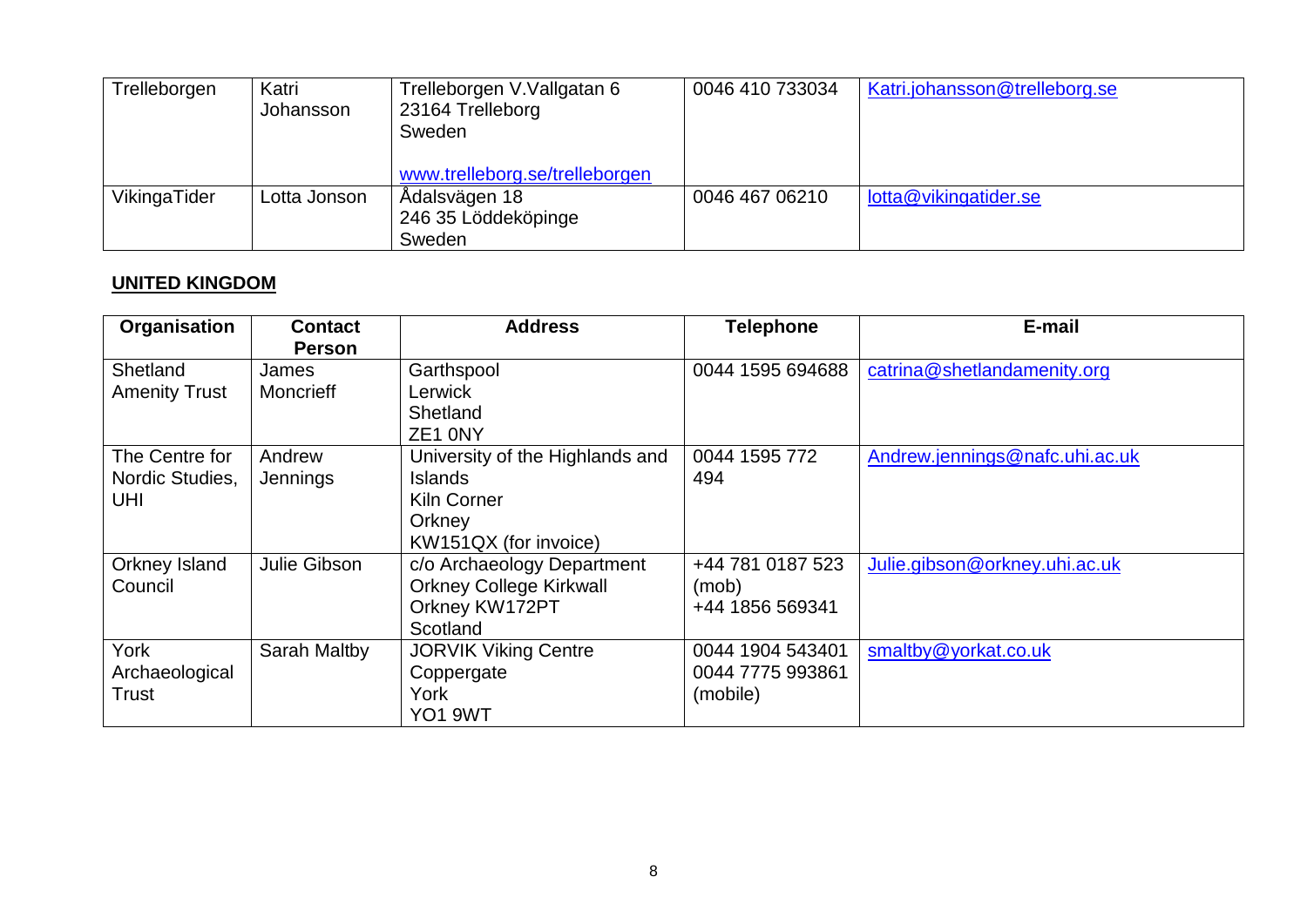| Trelleborgen | Katri<br>Johansson | Trelleborgen V.Vallgatan 6<br>23164 Trelleborg<br>Sweden<br>www.trelleborg.se/trelleborgen | 0046 410 733034 | Katri.johansson@trelleborg.se |
|--------------|--------------------|--------------------------------------------------------------------------------------------|-----------------|-------------------------------|
| VikingaTider | ∟otta Jonson       | Ådalsvägen 18<br>246 35 Löddeköpinge<br>Sweden                                             | 0046 467 06210  | lotta@vikingatider.se         |

### **UNITED KINGDOM**

| Organisation                             | <b>Contact</b><br><b>Person</b> | <b>Address</b>                                                                                             | <b>Telephone</b>                                 | E-mail                         |
|------------------------------------------|---------------------------------|------------------------------------------------------------------------------------------------------------|--------------------------------------------------|--------------------------------|
| Shetland<br><b>Amenity Trust</b>         | James<br><b>Moncrieff</b>       | Garthspool<br>Lerwick<br>Shetland<br>ZE1 0NY                                                               | 0044 1595 694688                                 | catrina@shetlandamenity.org    |
| The Centre for<br>Nordic Studies,<br>UHI | Andrew<br>Jennings              | University of the Highlands and<br><b>Islands</b><br><b>Kiln Corner</b><br>Orkney<br>KW151QX (for invoice) | 0044 1595 772<br>494                             | Andrew.jennings@nafc.uhi.ac.uk |
| Orkney Island<br>Council                 | Julie Gibson                    | c/o Archaeology Department<br><b>Orkney College Kirkwall</b><br>Orkney KW172PT<br>Scotland                 | +44 781 0187 523<br>(mob)<br>+44 1856 569341     | Julie.gibson@orkney.uhi.ac.uk  |
| York<br>Archaeological<br><b>Trust</b>   | Sarah Maltby                    | <b>JORVIK Viking Centre</b><br>Coppergate<br>York<br>YO1 9WT                                               | 0044 1904 543401<br>0044 7775 993861<br>(mobile) | smaltby@yorkat.co.uk           |